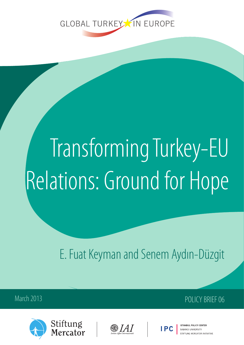

# Transforming Turkey-EU Relations: Ground for Hope

E. Fuat Keyman and Senem Aydın-Düzgit

March 2013 **POLICY BRIEF 06** 









SARANCLUNIVERSITY **TIETUNG MERCATOR INITIATIVE**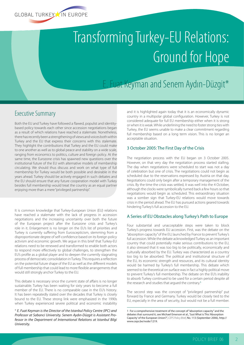

## Transforming Turkey-EU Relations: Ground for Hope

### E. Fuat Keyman and Senem Aydın-Düzgit\*

#### Executive Summary

Both the EU and Turkey have followed a flawed, populist and identitybased policy towards each other since accession negotiations began as a result of which relations have reached a stalemate. Nonetheless, there has recently been a strengthening of views and voices both within Turkey and the EU that express their concerns with this stalemate. They highlight the contributions that Turkey and the EU could make to one another as well as to global peace and stability on a wide scale, ranging from economics to politics, culture and foreign policy. At the same time, the Eurozone crisis has spawned new questions over the institutional future of the EU with alternative models of membership circulating. We should thus discuss and work on what type of full membership for Turkey would be both possible and desirable in the years ahead. Turkey should be actively engaged in such debates and the EU should ensure that any future cooperation model with Turkey besides full membership would treat the country as an equal partner enjoying more than a mere "privileged partnership".

It is common knowledge that Turkey-European Union (EU) relations have reached a stalemate with the lack of progress in accession negotiations and the increasing uncertainty over both the future of the European project after the Eurozone crisis and Turkey's role in it. Enlargement is no longer on the EU's list of priorities and Turkey is currently suffering from Euroscepticism, stemming from a disproportionate degree of self-confidence based on its foreign policy activism and economic growth. We argue in this brief that Turkey-EU relations need to be renewed and transformed to enable both actors to respond more effectively to global challenges, to strengthen the EU's profile as a global player and to deepen the currently stagnating process of democratic consolidation in Turkey. This requires a reflection on the potential future shape of the EU as well as the different models of full membership that could lead to more flexible arrangements that would still strongly anchor Turkey to the EU.

This debate is necessary since the current state of affairs is no longer sustainable. Turkey has been waiting for sixty years to become a full member of the EU. There is no comparable case in the EU's history. It has been repeatedly stated over the decades that Turkey is closely bound to the EU. These strong link were emphasized in the 1990s when Turkey experienced severe political and economic instability

\* *E. Fuat Keyman is the Director of the Istanbul Policy Centre (IPC) and Professor at Sabanci University. Senem Aydın-Düzgit is Assistant Professor in the Department of International Relations at Istanbul Bilgi University.*

and it is highlighted again today that it is an economically dynamic country in a multipolar global configuration. However, Turkey is not considered adequate for full EU membership either when it is strong or when it is weak. While underlining the need to foster strong ties with Turkey, the EU seems unable to make a clear commitment regarding full membership based on a long term vision. This is no longer an acceptable situation.

#### 3 October 2005: The First Day of the Crisis

The negotiation process with the EU began on 3 October 2005. However, on that very day the negotiation process started stalling. The day when negotiations were scheduled to start was not a day of celebration but one of crisis. The negotiations could not begin as scheduled due to the reservations expressed by Austria on that day. Negotiations could only begin after a temporary management of the crisis. By the time the crisis was settled, it was well into the 4 October, although the clocks were symbolically turned back a few hours so that negotiations would begin as scheduled. This extraordinary situation was a somber sign that Turkey-EU relations would move towards crisis in the period ahead. The EU has pursued actions geared towards hindering Turkey's full accession to the EU.

#### A Series of EU Obstacles along Turkey's Path to Europe

Four substantial and unacceptable steps were taken to block Turkey's progress towards EU accession. First, was the debate on the "absorption capacity" of the EU, launched by France to prevent Turkey's full accession. While the debate acknowledged Turkey as an important country that could potentially make serious contributions to the EU, it also stressed that it was too big to be politically, economically and culturally absorbed by the EU. Turkey was characterized as a country too big to be absorbed. The political and institutional structure of the EU, its economic strength and resources, and its cultural identity would be harmed by Turkey's full membership. This debate which seemed to be theoretical on surface was in fact a highly political move to prevent Turkey's full membership. The debate on the EU's inability to absorb Turkey continued to be used for a certain period despite all the research and studies that argued the contrary.**<sup>1</sup>**

The second step was the concept of "privileged partnership" put forward by France and Germany. Turkey would be closely tied to the EU, especially in the area of security, but would not be a full member.

<sup>1</sup> For a comprehensive treatment of the concept of "absorption capacity" and the debates that surround it, see Michael Emerson et al., "Just What is This 'Absorption Capacity' of the European Union?", *CEPS Policy Brief*, No. 113 (September 2006), http:// www.ceps.be/node/1219.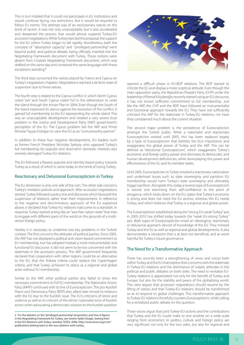This in turn implied that it could not participate in EU institutions and would continue facing visa restrictions. But it would be required to follow EU norms. This attempt was of an exclusionary nature on the brink of racism. It was not only unacceptable, but it also accelerated and deepened the process that would almost suspend Turkey-EU accession negotiations. While Turkey rejected this proposal, the support for the EU within Turkey began to fall rapidly. Nonetheless, both the concepts of "absorption capacity" and "privileged partnership" went beyond public and political debate, being officially inserted into the Negotiating Framework document with Turkey. These notions were absent from Croatia's Negotiating Framework document, which was drafted on the same day and contained the same language with these exceptions standing.**<sup>2</sup>**

The third step concerned the vetoes placed by France and Cyprus on Turkey's negotiation chapters. Negotiations reached a *de facto* state of suspension due to these vetoes.

The fourth step is related to the Cyprus conflict in which North Cyprus voted "yes" and South Cyprus voted "no" in the referendum to unite the island through the Annan Plan in 2004. Even though the South of the island expressed its stance against the resolution of the conflict, it gained full membership to the EU representing the whole island. This was an unacceptable development and created a very severe trust problem in the Justice and Development Party (AKP) government's perception of the EU. The Cyprus problem led the AKP and Prime Minister Tayyip Erdoğan to view the EU as an "untrustworthy partner".

In addition to these four negative developments, EU leaders such as former French President Nicholas Sarkozy who opposed Turkey's full membership for populist and short-term domestic interests also severely damaged Turkey-EU relations.

The EU followed a flawed, populist and identity-based policy towards Turkey as a result of which it came today to the brink of losing Turkey.

#### Reactionary and Delusional Euroscepticism in Turkey

The EU dimension is only one side of the coin. The other side concerns Turkey's mistaken policies and approach. After accession negotiations started, Turkey followed a policy line and discourse which favoured the suspension of relations rather than their improvement. In reference to the negative and discriminatory approach of the EU explained above, it declared that Turkey-EU relations had come to a standstill. In response Turkey started acting like an "axis-free nation-state" that tries to engage with different parts of the world on the grounds of a multivector foreign policy.

Hereby it is necessary to underline two key problems in the Turkish context. The first concerns the attitudes of political parties. Since 2005, the AKP has not displayed a political and vision-based commitment to EU membership, but has adopted instead a more instrumentalist and functional EU discourse. It did not seem to be too concerned with the stalemate in the accession process. The AKP government frequently declared that cooperation with other regions could be an alternative to the EU, that the Ankara criteria could replace the Copenhagen criteria, and that Turkey achieved its status as a regional and global actor without EU membership.

Similar to the AKP, other political parties also failed to show the necessary commitment to full EU membership. The Nationalist Action Party (MHP) continued with its line of Euroscepticism. The pro-Kurdish Peace and Democracy Party (BDP) also, albeit later tensed its relations with the EU due to the Kurdish issue. The EU's criticisms of terror and violence as well as its criticism of the ethnic nationalist tone of Kurdish actors when advocating a democratic solution to the Kurdish question

2 For the debates on the "privileged partnership" proposition and how it figures in the Negotiating Framework for Turkey, see Senem Aydin-Düzgit, *Seeking Kant in the EU's Relations with Turkey*, Istanbul, TESEV, 2006, http://www.tesev.org.tr/en/ publication/seeking-kant-in-the-eus-relations-with-turkey.



opened a difficult phase in EU-BDP relations. The BDP started to criticize the EU and display a more sceptical attitude. Even though the main opposition party, the Republican People's Party (CHP) under the leadership of Kemal Kılıçdaroğlu recently started using an EU discourse, it has not shown sufficient commitment to full membership. Just like the AKP, the CHP and the BDP have followed an instrumentalist and functional approach towards the EU. They have not sufficiently criticized the AKP for the stalemate in Turkey-EU relations, nor have they complained much about the current situation.

The second major problem is the persistence of Euroscepticism amongst the Turkish public. While a nationalist and reactionary Euroscepticism existed until 2005, this has been replaced largely by a type of Euroscepticism that belittles the EU's importance and exaggerates the global power of Turkey and the AKP. This can be defined as "delusional Euroscepticism", which exaggerates Turkey's economic and foreign policy power and dismisses its democratic and human development deficiencies, while downplaying the power and effectiveness of the EU and its member states.

Until 2005, Euroscepticism in Turkey entailed a reactionary nationalism and underlined issues such as state sovereignty and partition: EU membership would harm Turkey's state sovereignty and ultimately trigger partition. Alongside this, today a reverse type of Euroscepticism is voiced: one stemming from self-confidence to the point of arrogance, which looks down on the EU, states that Turkey's economy is strong and does not need the EU anchor, whereas the EU needs Turkey, and which believes that Turkey is a regional and global power.

The Euroscepticism established along the "strong EU-weak Turkey" axis in 2005-2010 has shifted today towards the "weak EU-strong Turkey" axis. Both types of Euorpscepticism entail an ideological, reactionary or delusional approach devoid of knowledge of the EU. They misread Turkey and the EU as well as regional and global developments. It also demonstrates a viewpoint that is at best not beneficial, and at worst harmful for Turkey's future governance.

#### The Need for a Transformative Approach

There has recently been a strengthening of views and voices both within Turkey and the EU that express their concerns with the stalemate in Turkey-EU relations and the dominance of sceptic attitudes in the political and public debates on both sides. The need to revitalize EU-Turkey relations is appreciated not only for the benefit of Turkey and Europe, but also for the stability and peace of the globalizing world. This view argues that accession negotiations should resume by the lifting of vetoes and that Turkey-EU relations should be transformed so as to respond to global challenges. This transformative approach to Turkey-EU relations forcefully counters Eurosceptisicm, while calling for a revitalized public debate on the question.

These voices argue that joint Turkey-EU actions and the contributions that Turkey and the EU could make to one another on a wide scale ranging from economics to politics, culture and foreign policy are very significant not only for the two sides, but also for regional and